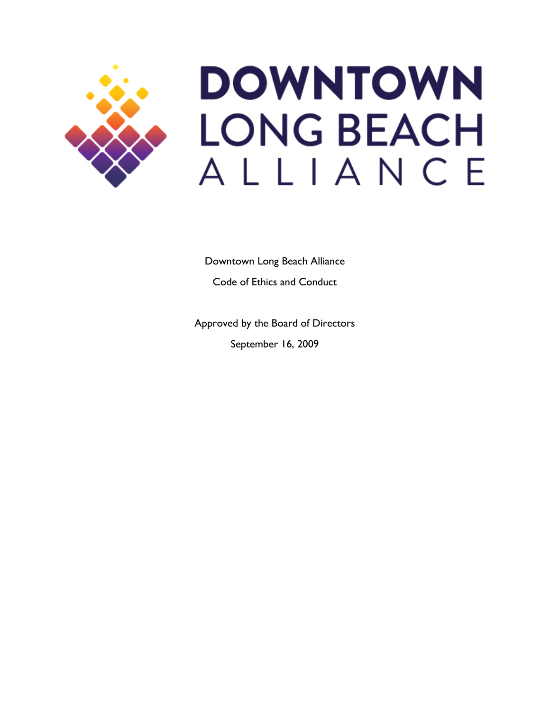

# **DOWNTOWN LONG BEACH** ALLIANCE

Downtown Long Beach Alliance Code of Ethics and Conduct

Approved by the Board of Directors September 16, 2009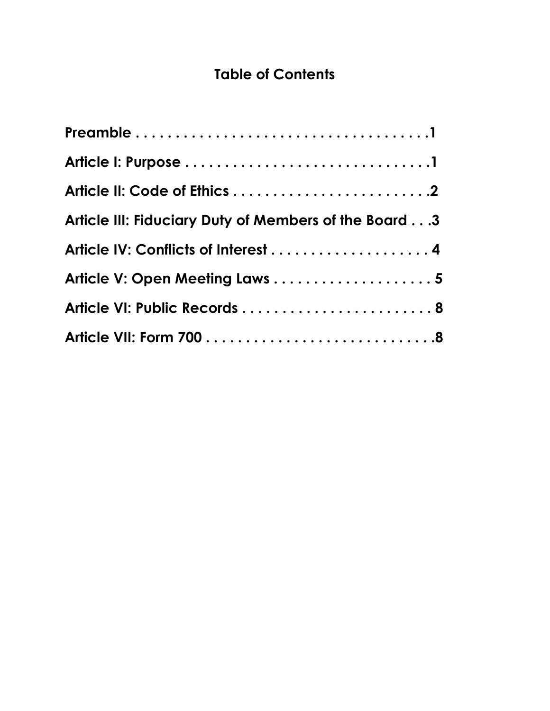# **Table of Contents**

| Article III: Fiduciary Duty of Members of the Board3 |
|------------------------------------------------------|
|                                                      |
| Article V: Open Meeting Laws  5                      |
|                                                      |
|                                                      |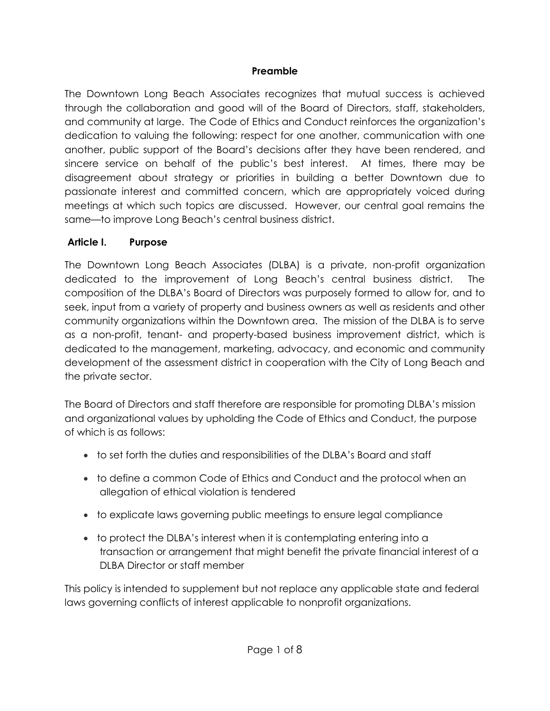#### **Preamble**

The Downtown Long Beach Associates recognizes that mutual success is achieved through the collaboration and good will of the Board of Directors, staff, stakeholders, and community at large. The Code of Ethics and Conduct reinforces the organization's dedication to valuing the following: respect for one another, communication with one another, public support of the Board's decisions after they have been rendered, and sincere service on behalf of the public's best interest. At times, there may be disagreement about strategy or priorities in building a better Downtown due to passionate interest and committed concern, which are appropriately voiced during meetings at which such topics are discussed. However, our central goal remains the same—to improve Long Beach's central business district.

#### **Article I. Purpose**

The Downtown Long Beach Associates (DLBA) is a private, non-profit organization dedicated to the improvement of Long Beach's central business district. The composition of the DLBA's Board of Directors was purposely formed to allow for, and to seek, input from a variety of property and business owners as well as residents and other community organizations within the Downtown area. The mission of the DLBA is to serve as a non-profit, tenant- and property-based business improvement district, which is dedicated to the management, marketing, advocacy, and economic and community development of the assessment district in cooperation with the City of Long Beach and the private sector.

The Board of Directors and staff therefore are responsible for promoting DLBA's mission and organizational values by upholding the Code of Ethics and Conduct, the purpose of which is as follows:

- to set forth the duties and responsibilities of the DLBA's Board and staff
- to define a common Code of Ethics and Conduct and the protocol when an allegation of ethical violation is tendered
- to explicate laws governing public meetings to ensure legal compliance
- to protect the DLBA's interest when it is contemplating entering into a transaction or arrangement that might benefit the private financial interest of a DLBA Director or staff member

This policy is intended to supplement but not replace any applicable state and federal laws governing conflicts of interest applicable to nonprofit organizations.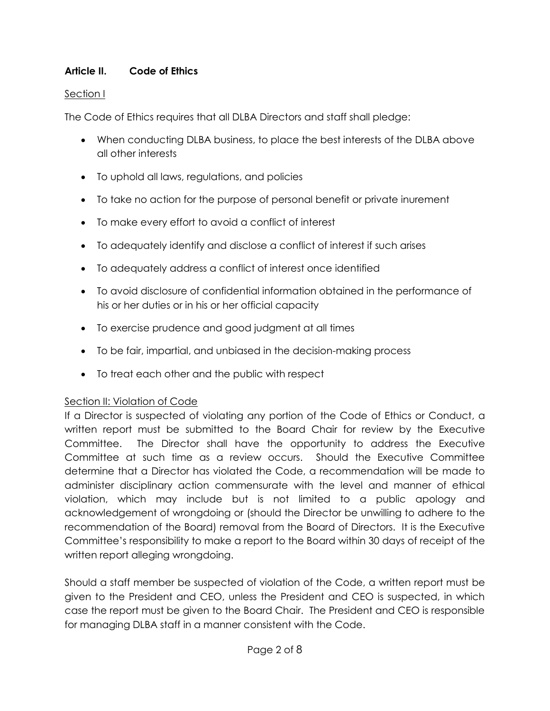#### **Article II. Code of Ethics**

#### Section I

The Code of Ethics requires that all DLBA Directors and staff shall pledge:

- When conducting DLBA business, to place the best interests of the DLBA above all other interests
- To uphold all laws, regulations, and policies
- To take no action for the purpose of personal benefit or private inurement
- To make every effort to avoid a conflict of interest
- To adequately identify and disclose a conflict of interest if such arises
- To adequately address a conflict of interest once identified
- To avoid disclosure of confidential information obtained in the performance of his or her duties or in his or her official capacity
- To exercise prudence and good judgment at all times
- To be fair, impartial, and unbiased in the decision-making process
- To treat each other and the public with respect

#### Section II: Violation of Code

If a Director is suspected of violating any portion of the Code of Ethics or Conduct, a written report must be submitted to the Board Chair for review by the Executive Committee. The Director shall have the opportunity to address the Executive Committee at such time as a review occurs. Should the Executive Committee determine that a Director has violated the Code, a recommendation will be made to administer disciplinary action commensurate with the level and manner of ethical violation, which may include but is not limited to a public apology and acknowledgement of wrongdoing or (should the Director be unwilling to adhere to the recommendation of the Board) removal from the Board of Directors. It is the Executive Committee's responsibility to make a report to the Board within 30 days of receipt of the written report alleging wrongdoing.

Should a staff member be suspected of violation of the Code, a written report must be given to the President and CEO, unless the President and CEO is suspected, in which case the report must be given to the Board Chair. The President and CEO is responsible for managing DLBA staff in a manner consistent with the Code.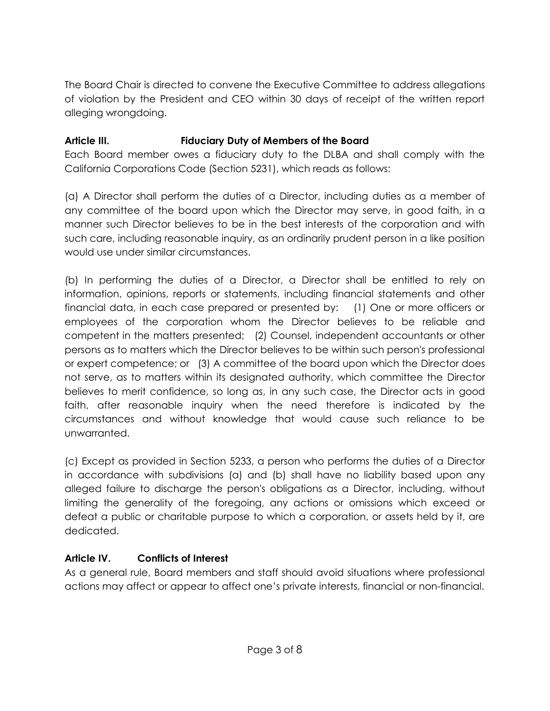The Board Chair is directed to convene the Executive Committee to address allegations of violation by the President and CEO within 30 days of receipt of the written report alleging wrongdoing.

#### **Article III. Fiduciary Duty of Members of the Board**

Each Board member owes a fiduciary duty to the DLBA and shall comply with the California Corporations Code (Section 5231), which reads as follows:

(a) A Director shall perform the duties of a Director, including duties as a member of any committee of the board upon which the Director may serve, in good faith, in a manner such Director believes to be in the best interests of the corporation and with such care, including reasonable inquiry, as an ordinarily prudent person in a like position would use under similar circumstances.

(b) In performing the duties of a Director, a Director shall be entitled to rely on information, opinions, reports or statements, including financial statements and other financial data, in each case prepared or presented by: (1) One or more officers or employees of the corporation whom the Director believes to be reliable and competent in the matters presented; (2) Counsel, independent accountants or other persons as to matters which the Director believes to be within such person's professional or expert competence; or (3) A committee of the board upon which the Director does not serve, as to matters within its designated authority, which committee the Director believes to merit confidence, so long as, in any such case, the Director acts in good faith, after reasonable inquiry when the need therefore is indicated by the circumstances and without knowledge that would cause such reliance to be unwarranted.

(c) Except as provided in Section 5233, a person who performs the duties of a Director in accordance with subdivisions (a) and (b) shall have no liability based upon any alleged failure to discharge the person's obligations as a Director, including, without limiting the generality of the foregoing, any actions or omissions which exceed or defeat a public or charitable purpose to which a corporation, or assets held by it, are dedicated.

#### **Article IV. Conflicts of Interest**

As a general rule, Board members and staff should avoid situations where professional actions may affect or appear to affect one's private interests, financial or non-financial.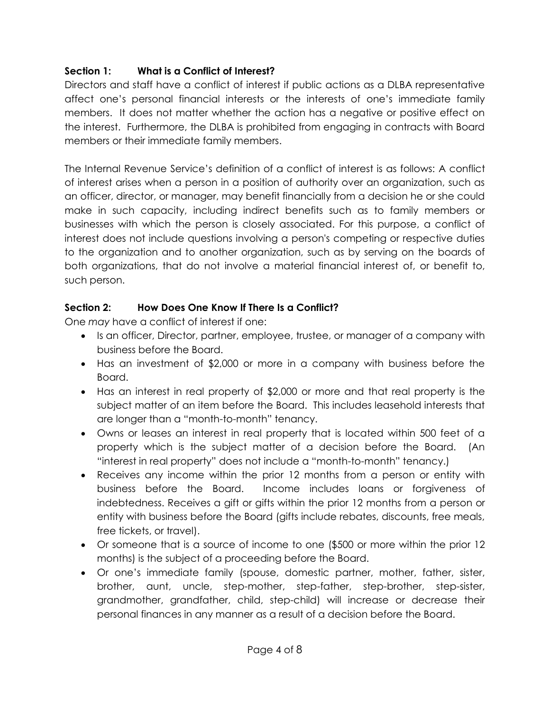#### **Section 1: What is a Conflict of Interest?**

Directors and staff have a conflict of interest if public actions as a DLBA representative affect one's personal financial interests or the interests of one's immediate family members. It does not matter whether the action has a negative or positive effect on the interest. Furthermore, the DLBA is prohibited from engaging in contracts with Board members or their immediate family members.

The Internal Revenue Service's definition of a conflict of interest is as follows: A conflict of interest arises when a person in a position of authority over an organization, such as an officer, director, or manager, may benefit financially from a decision he or she could make in such capacity, including indirect benefits such as to family members or businesses with which the person is closely associated. For this purpose, a conflict of interest does not include questions involving a person's competing or respective duties to the organization and to another organization, such as by serving on the boards of both organizations, that do not involve a material financial interest of, or benefit to, such person.

# **Section 2: How Does One Know If There Is a Conflict?**

One *may* have a conflict of interest if one:

- Is an officer, Director, partner, employee, trustee, or manager of a company with business before the Board.
- Has an investment of \$2,000 or more in a company with business before the Board.
- Has an interest in real property of \$2,000 or more and that real property is the subject matter of an item before the Board. This includes leasehold interests that are longer than a "month-to-month" tenancy.
- Owns or leases an interest in real property that is located within 500 feet of a property which is the subject matter of a decision before the Board. (An "interest in real property" does not include a "month-to-month" tenancy.)
- Receives any income within the prior 12 months from a person or entity with business before the Board. Income includes loans or forgiveness of indebtedness. Receives a gift or gifts within the prior 12 months from a person or entity with business before the Board (gifts include rebates, discounts, free meals, free tickets, or travel).
- Or someone that is a source of income to one (\$500 or more within the prior 12 months) is the subject of a proceeding before the Board.
- Or one's immediate family (spouse, domestic partner, mother, father, sister, brother, aunt, uncle, step-mother, step-father, step-brother, step-sister, grandmother, grandfather, child, step-child) will increase or decrease their personal finances in any manner as a result of a decision before the Board.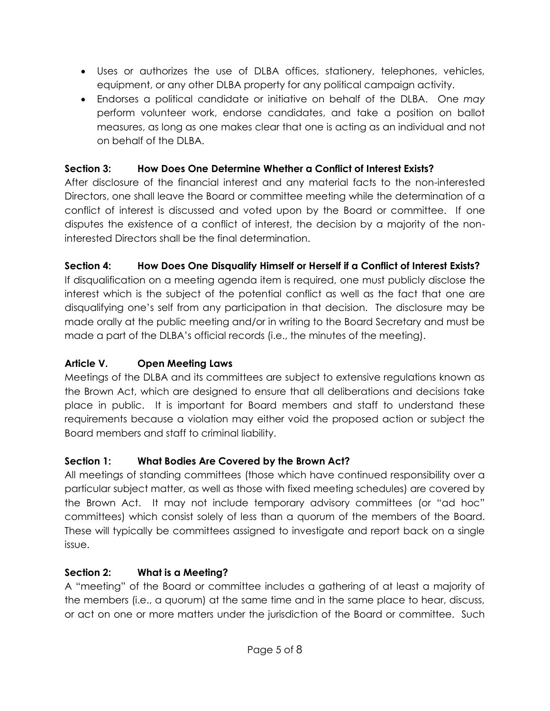- Uses or authorizes the use of DLBA offices, stationery, telephones, vehicles, equipment, or any other DLBA property for any political campaign activity.
- Endorses a political candidate or initiative on behalf of the DLBA. One *may* perform volunteer work, endorse candidates, and take a position on ballot measures, as long as one makes clear that one is acting as an individual and not on behalf of the DLBA.

### **Section 3: How Does One Determine Whether a Conflict of Interest Exists?**

After disclosure of the financial interest and any material facts to the non-interested Directors, one shall leave the Board or committee meeting while the determination of a conflict of interest is discussed and voted upon by the Board or committee. If one disputes the existence of a conflict of interest, the decision by a majority of the noninterested Directors shall be the final determination.

#### **Section 4: How Does One Disqualify Himself or Herself if a Conflict of Interest Exists?**

If disqualification on a meeting agenda item is required, one must publicly disclose the interest which is the subject of the potential conflict as well as the fact that one are disqualifying one's self from any participation in that decision. The disclosure may be made orally at the public meeting and/or in writing to the Board Secretary and must be made a part of the DLBA's official records (i.e., the minutes of the meeting).

#### **Article V. Open Meeting Laws**

Meetings of the DLBA and its committees are subject to extensive regulations known as the Brown Act, which are designed to ensure that all deliberations and decisions take place in public. It is important for Board members and staff to understand these requirements because a violation may either void the proposed action or subject the Board members and staff to criminal liability.

#### **Section 1: What Bodies Are Covered by the Brown Act?**

All meetings of standing committees (those which have continued responsibility over a particular subject matter, as well as those with fixed meeting schedules) are covered by the Brown Act. It may not include temporary advisory committees (or "ad hoc" committees) which consist solely of less than a quorum of the members of the Board. These will typically be committees assigned to investigate and report back on a single issue.

#### **Section 2: What is a Meeting?**

A "meeting" of the Board or committee includes a gathering of at least a majority of the members (i.e., a quorum) at the same time and in the same place to hear, discuss, or act on one or more matters under the jurisdiction of the Board or committee. Such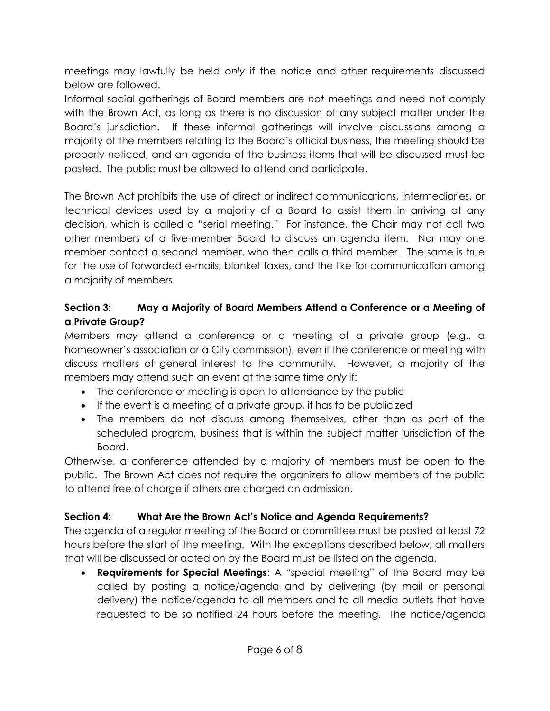meetings may lawfully be held *only* if the notice and other requirements discussed below are followed.

Informal social gatherings of Board members are *not* meetings and need not comply with the Brown Act, as long as there is no discussion of any subject matter under the Board's jurisdiction. If these informal gatherings will involve discussions among a majority of the members relating to the Board's official business, the meeting should be properly noticed, and an agenda of the business items that will be discussed must be posted. The public must be allowed to attend and participate.

The Brown Act prohibits the use of direct or indirect communications, intermediaries, or technical devices used by a majority of a Board to assist them in arriving at any decision, which is called a "serial meeting." For instance, the Chair may not call two other members of a five-member Board to discuss an agenda item. Nor may one member contact a second member, who then calls a third member. The same is true for the use of forwarded e-mails, blanket faxes, and the like for communication among a majority of members.

#### **Section 3: May a Majority of Board Members Attend a Conference or a Meeting of a Private Group?**

Members *may* attend a conference or a meeting of a private group (e.g., a homeowner's association or a City commission), even if the conference or meeting with discuss matters of general interest to the community. However, a majority of the members may attend such an event at the same time *only* if:

- The conference or meeting is open to attendance by the public
- If the event is a meeting of a private group, it has to be publicized
- The members do not discuss among themselves, other than as part of the scheduled program, business that is within the subject matter jurisdiction of the Board.

Otherwise, a conference attended by a majority of members must be open to the public. The Brown Act does not require the organizers to allow members of the public to attend free of charge if others are charged an admission.

#### **Section 4: What Are the Brown Act's Notice and Agenda Requirements?**

The agenda of a regular meeting of the Board or committee must be posted at least 72 hours before the start of the meeting. With the exceptions described below, all matters that will be discussed or acted on by the Board must be listed on the agenda.

 **Requirements for Special Meetings**: A "special meeting" of the Board may be called by posting a notice/agenda and by delivering (by mail or personal delivery) the notice/agenda to all members and to all media outlets that have requested to be so notified 24 hours before the meeting. The notice/agenda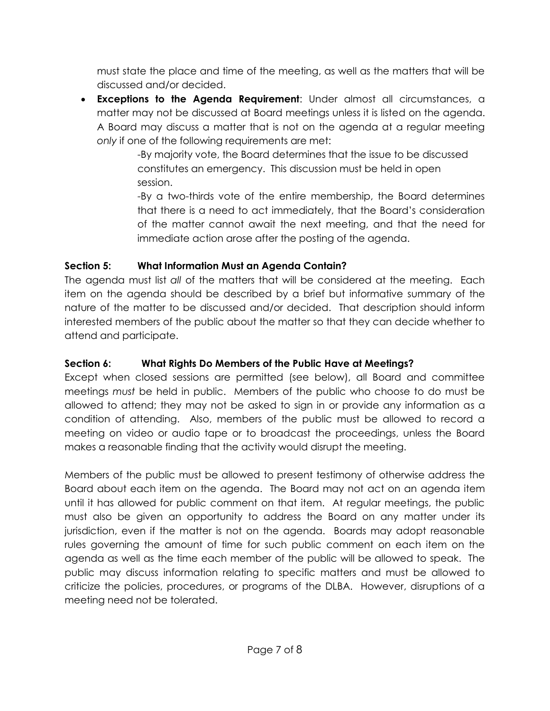must state the place and time of the meeting, as well as the matters that will be discussed and/or decided.

 **Exceptions to the Agenda Requirement**: Under almost all circumstances, a matter may not be discussed at Board meetings unless it is listed on the agenda. A Board may discuss a matter that is not on the agenda at a regular meeting *only* if one of the following requirements are met:

-By majority vote, the Board determines that the issue to be discussed constitutes an emergency. This discussion must be held in open session.

-By a two-thirds vote of the entire membership, the Board determines that there is a need to act immediately, that the Board's consideration of the matter cannot await the next meeting, and that the need for immediate action arose after the posting of the agenda.

#### **Section 5: What Information Must an Agenda Contain?**

The agenda must list *all* of the matters that will be considered at the meeting. Each item on the agenda should be described by a brief but informative summary of the nature of the matter to be discussed and/or decided. That description should inform interested members of the public about the matter so that they can decide whether to attend and participate.

# **Section 6: What Rights Do Members of the Public Have at Meetings?**

Except when closed sessions are permitted (see below), all Board and committee meetings *must* be held in public. Members of the public who choose to do must be allowed to attend; they may not be asked to sign in or provide any information as a condition of attending. Also, members of the public must be allowed to record a meeting on video or audio tape or to broadcast the proceedings, unless the Board makes a reasonable finding that the activity would disrupt the meeting.

Members of the public must be allowed to present testimony of otherwise address the Board about each item on the agenda. The Board may not act on an agenda item until it has allowed for public comment on that item. At regular meetings, the public must also be given an opportunity to address the Board on any matter under its jurisdiction, even if the matter is not on the agenda. Boards may adopt reasonable rules governing the amount of time for such public comment on each item on the agenda as well as the time each member of the public will be allowed to speak. The public may discuss information relating to specific matters and must be allowed to criticize the policies, procedures, or programs of the DLBA. However, disruptions of a meeting need not be tolerated.